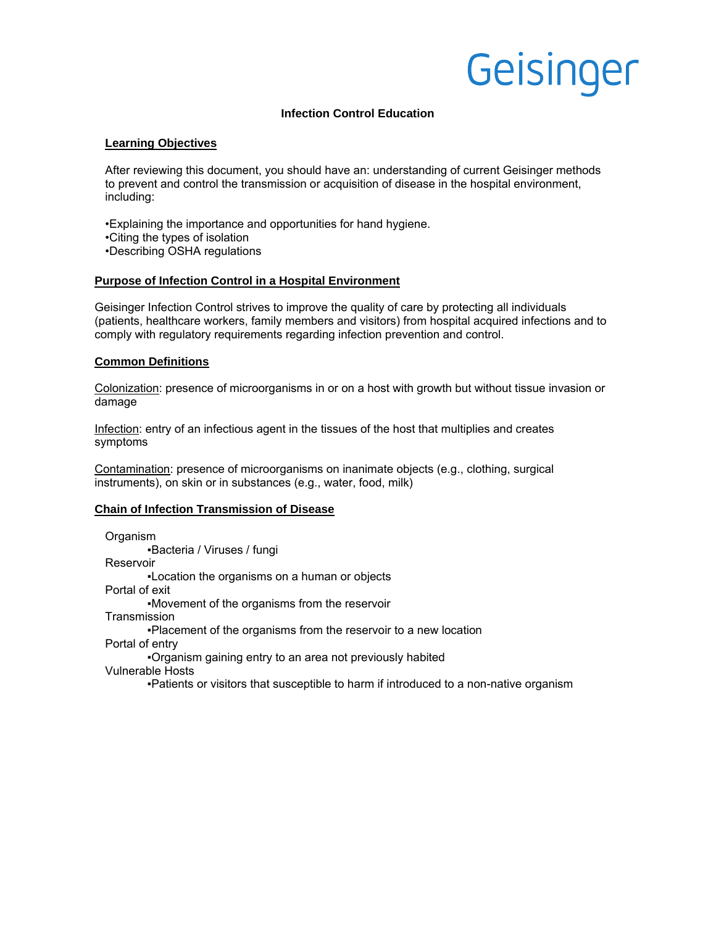# Geisinger

# **Infection Control Education**

### **Learning Objectives**

After reviewing this document, you should have an: understanding of current Geisinger methods to prevent and control the transmission or acquisition of disease in the hospital environment, including:

•Explaining the importance and opportunities for hand hygiene.

- •Citing the types of isolation
- •Describing OSHA regulations

## **Purpose of Infection Control in a Hospital Environment**

Geisinger Infection Control strives to improve the quality of care by protecting all individuals (patients, healthcare workers, family members and visitors) from hospital acquired infections and to comply with regulatory requirements regarding infection prevention and control.

## **Common Definitions**

Colonization: presence of microorganisms in or on a host with growth but without tissue invasion or damage

Infection: entry of an infectious agent in the tissues of the host that multiplies and creates symptoms

Contamination: presence of microorganisms on inanimate objects (e.g., clothing, surgical instruments), on skin or in substances (e.g., water, food, milk)

#### **Chain of Infection Transmission of Disease**

Organism ▪Bacteria / Viruses / fungi Reservoir ▪Location the organisms on a human or objects Portal of exit ▪Movement of the organisms from the reservoir **Transmission** ▪Placement of the organisms from the reservoir to a new location Portal of entry ▪Organism gaining entry to an area not previously habited Vulnerable Hosts ▪Patients or visitors that susceptible to harm if introduced to a non-native organism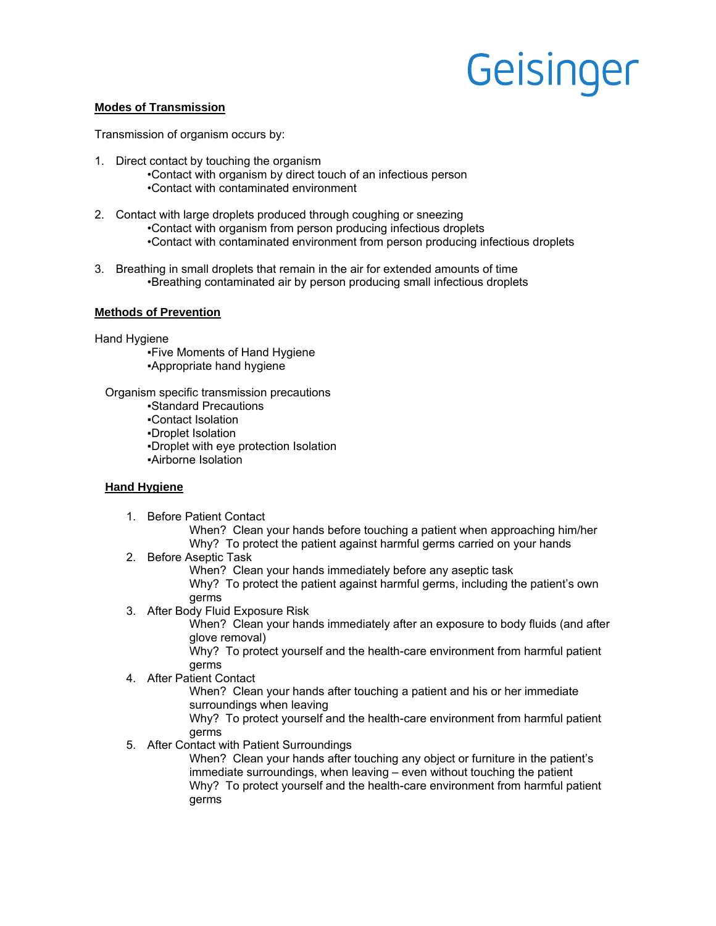# Geisinger

#### **Modes of Transmission**

Transmission of organism occurs by:

- 1. Direct contact by touching the organism •Contact with organism by direct touch of an infectious person •Contact with contaminated environment
- 2. Contact with large droplets produced through coughing or sneezing •Contact with organism from person producing infectious droplets •Contact with contaminated environment from person producing infectious droplets
- 3. Breathing in small droplets that remain in the air for extended amounts of time •Breathing contaminated air by person producing small infectious droplets

#### **Methods of Prevention**

Hand Hygiene

▪Five Moments of Hand Hygiene ▪Appropriate hand hygiene

Organism specific transmission precautions

▪Standard Precautions

▪Contact Isolation

▪Droplet Isolation

▪Droplet with eye protection Isolation

▪Airborne Isolation

#### **Hand Hygiene**

1. Before Patient Contact

When? Clean your hands before touching a patient when approaching him/her Why? To protect the patient against harmful germs carried on your hands

2. Before Aseptic Task

When? Clean your hands immediately before any aseptic task Why? To protect the patient against harmful germs, including the patient's own germs

3. After Body Fluid Exposure Risk

When? Clean your hands immediately after an exposure to body fluids (and after glove removal)

Why? To protect yourself and the health-care environment from harmful patient germs

4. After Patient Contact

When? Clean your hands after touching a patient and his or her immediate surroundings when leaving

Why? To protect yourself and the health-care environment from harmful patient germs

5. After Contact with Patient Surroundings

When? Clean your hands after touching any object or furniture in the patient's immediate surroundings, when leaving – even without touching the patient Why? To protect yourself and the health-care environment from harmful patient germs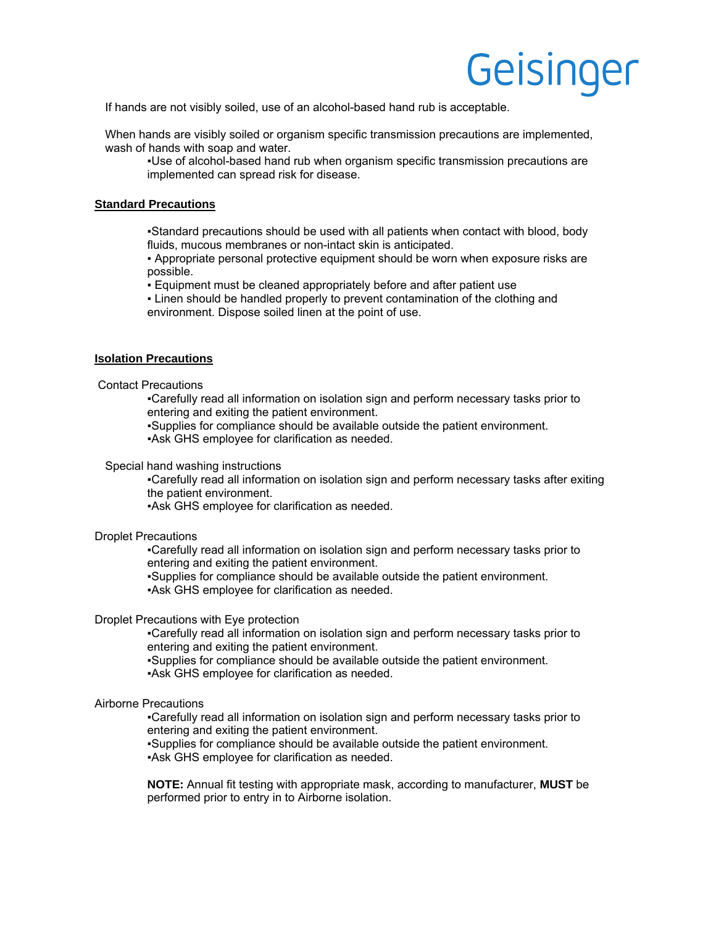# Geisinger

If hands are not visibly soiled, use of an alcohol-based hand rub is acceptable.

When hands are visibly soiled or organism specific transmission precautions are implemented, wash of hands with soap and water.

▪Use of alcohol-based hand rub when organism specific transmission precautions are implemented can spread risk for disease.

#### **Standard Precautions**

▪Standard precautions should be used with all patients when contact with blood, body fluids, mucous membranes or non-intact skin is anticipated.

▪ Appropriate personal protective equipment should be worn when exposure risks are possible.

▪ Equipment must be cleaned appropriately before and after patient use

▪ Linen should be handled properly to prevent contamination of the clothing and environment. Dispose soiled linen at the point of use.

#### **Isolation Precautions**

Contact Precautions

▪Carefully read all information on isolation sign and perform necessary tasks prior to entering and exiting the patient environment.

▪Supplies for compliance should be available outside the patient environment.

▪Ask GHS employee for clarification as needed.

#### Special hand washing instructions

▪Carefully read all information on isolation sign and perform necessary tasks after exiting the patient environment.

▪Ask GHS employee for clarification as needed.

#### Droplet Precautions

▪Carefully read all information on isolation sign and perform necessary tasks prior to entering and exiting the patient environment.

▪Supplies for compliance should be available outside the patient environment. ▪Ask GHS employee for clarification as needed.

#### Droplet Precautions with Eye protection

▪Carefully read all information on isolation sign and perform necessary tasks prior to entering and exiting the patient environment.

▪Supplies for compliance should be available outside the patient environment. ▪Ask GHS employee for clarification as needed.

# Airborne Precautions

▪Carefully read all information on isolation sign and perform necessary tasks prior to entering and exiting the patient environment.

▪Supplies for compliance should be available outside the patient environment. ▪Ask GHS employee for clarification as needed.

**NOTE:** Annual fit testing with appropriate mask, according to manufacturer, **MUST** be performed prior to entry in to Airborne isolation.